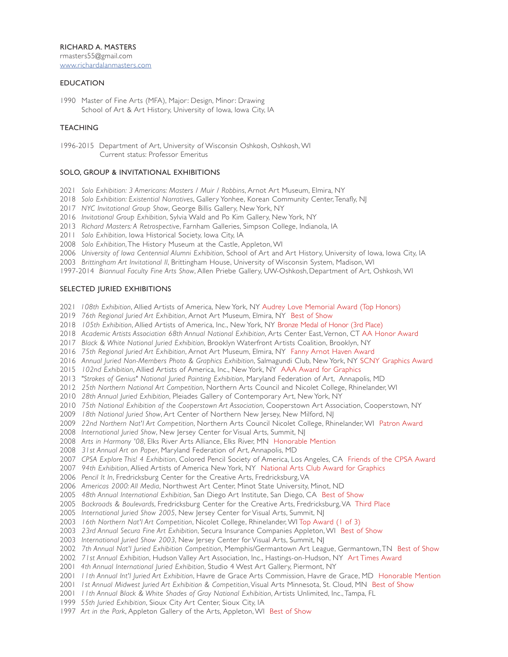## **EDUCATION**

1990 Master of Fine Arts (MFA), Major: Design, Minor: Drawing School of Art & Art History, University of Iowa, Iowa City, IA

## **TEACHING**

1996-2015 Department of Art, University of Wisconsin Oshkosh, Oshkosh, WI Current status: Professor Emeritus

## SOLO, GROUP & INVITATIONAL EXHIBITIONS

*Solo Exhibition: 3 Americans: Masters / Muir / Robbins*, Arnot Art Museum, Elmira, NY

- *Solo Exhibition: Existential Narratives*, Gallery Yonhee, Korean Community Center, Tenafly, NJ
- *NYC Invitational Group Show*, George Billis Gallery, New York, NY
- *Invitational Group Exhibition*, Sylvia Wald and Po Kim Gallery, New York, NY
- *Richard Masters: A Retrospective*, Farnham Galleries, Simpson College, Indianola, IA
- *Solo Exhibition*, Iowa Historical Society, Iowa City, IA
- *Solo Exhibition*, The History Museum at the Castle, Appleton, WI
- *University of Iowa Centennial Alumni Exhibition*, School of Art and Art History, University of Iowa, Iowa City, IA
- *Brittingham Art Invitational II*, Brittingham House, University of Wisconsin System, Madison, WI
- 1997-2014 *Biannual Faculty Fine Arts Show*, Allen Priebe Gallery, UW-Oshkosh, Department of Art, Oshkosh, WI

## SELECTED JURIED EXHIBITIONS

- *108th Exhibition*, Allied Artists of America, New York, NY Audrey Love Memorial Award (Top Honors)
- *76th Regional Juried Art Exhibition*, Arnot Art Museum, Elmira, NY Best of Show
- *105th Exhibition*, Allied Artists of America, Inc., New York, NY Bronze Medal of Honor (3rd Place)
- *Academic Artists Association 68th Annual National Exhibition*, Arts Center East, Vernon, CT AA Honor Award
- *Black & White National Juried Exhibition*, Brooklyn Waterfront Artists Coalition, Brooklyn, NY
- *75th Regional Juried Art Exhibition*, Arnot Art Museum, Elmira, NY Fanny Arnot Haven Award
- *Annual Juried Non-Members Photo & Graphics Exhibition*, Salmagundi Club, New York, NY SCNY Graphics Award
- *102nd Exhibition*, Allied Artists of America, Inc., New York, NY AAA Award for Graphics
- *"Strokes of Genius" National Juried Painting Exhibition*, Maryland Federation of Art, Annapolis, MD
- *25th Northern National Art Competition*, Northern Arts Council and Nicolet College, Rhinelander, WI
- *28th Annual Juried Exhibition*, Pleiades Gallery of Contemporary Art, New York, NY
- *75th National Exhibition of the Cooperstown Art Association*, Cooperstown Art Association, Cooperstown, NY
- *18th National Juried Show*, Art Center of Northern New Jersey, New Milford, NJ
- *22nd Northern Nat'l Art Competition*, Northern Arts Council Nicolet College, Rhinelander, WI Patron Award
- *International Juried Show*, New Jersey Center for Visual Arts, Summit, NJ
- *Arts in Harmony '08*, Elks River Arts Alliance, Elks River, MN Honorable Mention
- *31st Annual Art on Paper*, Maryland Federation of Art, Annapolis, MD
- *CPSA Explore This! 4 Exhibition*, Colored Pencil Society of America, Los Angeles, CA Friends of the CPSA Award
- *94th Exhibition*, Allied Artists of America New York, NY National Arts Club Award for Graphics
- *Pencil It In*, Fredricksburg Center for the Creative Arts, Fredricksburg, VA
- *Americas 2000: All Media*, Northwest Art Center, Minot State University, Minot, ND
- *48th Annual International Exhibition*, San Diego Art Institute, San Diego, CA Best of Show
- *Backroads & Boulevards*, Fredricksburg Center for the Creative Arts, Fredricksburg, VA Third Place
- *International Juried Show 2005*, New Jersey Center for Visual Arts, Summit, NJ
- *16th Northern Nat'l Art Competition*, Nicolet College, Rhinelander, WI Top Award (1 of 3)
- *23rd Annual Secura Fine Art Exhibition*, Secura Insurance Companies Appleton, WI Best of Show
- *International Juried Show 2003*, New Jersey Center for Visual Arts, Summit, NJ
- *7th Annual Nat'l Juried Exhibition Competition*, Memphis/Germantown Art League, Germantown, TN Best of Show
- *71st Annual Exhibition*, Hudson Valley Art Association, Inc., Hastings-on-Hudson, NY Art Times Award
- *4th Annual International Juried Exhibition*, Studio 4 West Art Gallery, Piermont, NY
- *11th Annual Int'l Juried Art Exhibition*, Havre de Grace Arts Commission, Havre de Grace, MD Honorable Mention
- *1st Annual Midwest Juried Art Exhibition & Competition*, Visual Arts Minnesota, St. Cloud, MN Best of Show
- *11th Annual Black & White Shades of Gray National Exhibition*, Artists Unlimited, Inc., Tampa, FL
- *55th Juried Exhibition*, Sioux City Art Center, Sioux City, IA
- *Art in the Park*, Appleton Gallery of the Arts, Appleton, WI Best of Show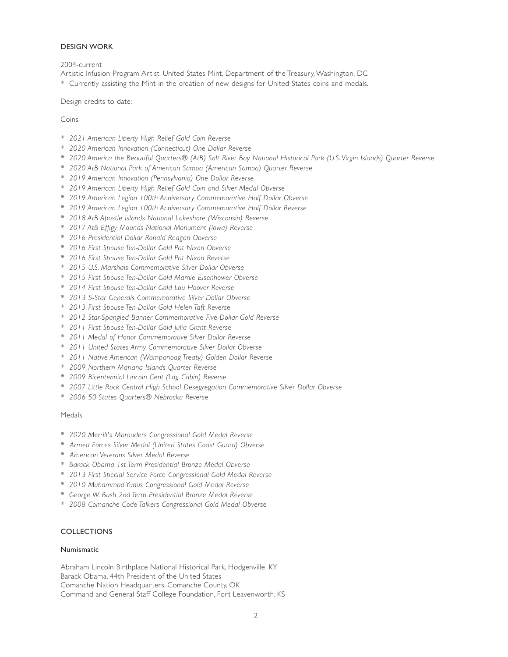## DESIGN WORK

2004-current

Artistic Infusion Program Artist, United States Mint, Department of the Treasury, Washington, DC

*\** Currently assisting the Mint in the creation of new designs for United States coins and medals.

Design credits to date:

Coins

- *\* 2021 American Liberty High Relief Gold Coin Reverse*
- *\* 2020 American Innovation (Connecticut) One Dollar Reverse*
- *\* 2020 America the Beautiful Quarters® (AtB) Salt River Bay National Historical Park (U.S. Virgin Islands) Quarter Reverse*
- *\* 2020 AtB National Park of American Samoa (American Samoa) Quarter Reverse*
- *\* 2019 American Innovation (Pennsylvania) One Dollar Reverse*
- *\* 2019 American Liberty High Relief Gold Coin and Silver Medal Obverse*
- *\* 2019 American Legion 100th Anniversary Commemorative Half Dollar Obverse*
- *\* 2019 American Legion 100th Anniversary Commemorative Half Dollar Reverse*
- *\* 2018 AtB Apostle Islands National Lakeshore (Wisconsin) Reverse*
- *\* 2017 AtB Effigy Mounds National Monument (Iowa) Reverse*
- *\* 2016 Presidential Dollar Ronald Reagan Obverse*
- *\* 2016 First Spouse Ten-Dollar Gold Pat Nixon Obverse*
- *\* 2016 First Spouse Ten-Dollar Gold Pat Nixon Reverse*
- *\* 2015 U.S. Marshals Commemorative Silver Dollar Obverse*
- *\* 2015 First Spouse Ten-Dollar Gold Mamie Eisenhower Obverse*
- *\* 2014 First Spouse Ten-Dollar Gold Lou Hoover Reverse*
- *\* 2013 5-Star Generals Commemorative Silver Dollar Obverse*
- *\* 2013 First Spouse Ten-Dollar Gold Helen Taft Reverse*
- *\* 2012 Star-Spangled Banner Commemorative Five-Dollar Gold Reverse*
- *\* 2011 First Spouse Ten-Dollar Gold Julia Grant Reverse*
- *\* 2011 Medal of Honor Commemorative Silver Dollar Reverse*
- *\* 2011 United States Army Commemorative Silver Dollar Obverse*
- *\* 2011 Native American (Wampanoag Treaty) Golden Dollar Reverse*
- *\* 2009 Northern Mariana Islands Quarter Reverse*
- *\* 2009 Bicentennial Lincoln Cent (Log Cabin) Reverse*
- *\* 2007 Little Rock Central High School Desegregation Commemorative Silver Dollar Obverse*
- *\* 2006 50-States Quarters® Nebraska Reverse*

## Medals

- *\* 2020 Merrill's Marauders Congressional Gold Medal Reverse*
- *\* Armed Forces Silver Medal (United States Coast Guard) Obverse*
- *\* American Veterans Silver Medal Reverse*
- *\* Barack Obama 1st Term Presidential Bronze Medal Obverse*
- *\* 2013 First Special Service Force Congressional Gold Medal Reverse*
- *\* 2010 Muhammad Yunus Congressional Gold Medal Reverse*
- *\* George W. Bush 2nd Term Presidential Bronze Medal Reverse*
- *\* 2008 Comanche Code Talkers Congressional Gold Medal Obverse*

# COLLECTIONS

#### Numismatic

Abraham Lincoln Birthplace National Historical Park, Hodgenville, KY Barack Obama, 44th President of the United States Comanche Nation Headquarters, Comanche County, OK Command and General Staff College Foundation, Fort Leavenworth, KS